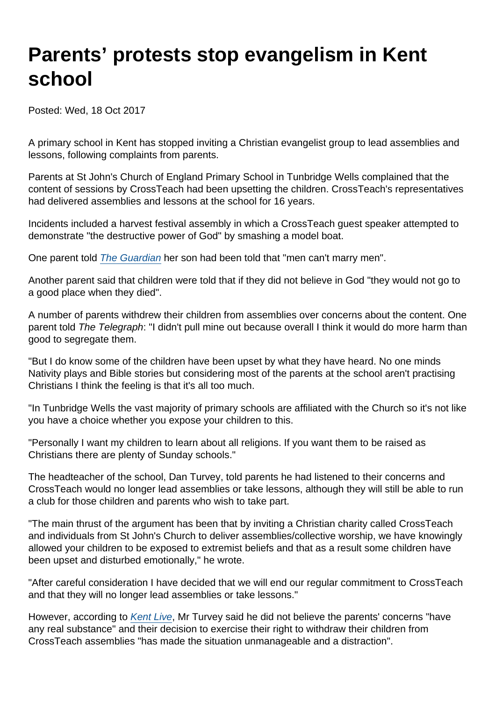## Parents' protests stop evangelism in Kent school

Posted: Wed, 18 Oct 2017

A primary school in Kent has stopped inviting a Christian evangelist group to lead assemblies and lessons, following complaints from parents.

Parents at St John's Church of England Primary School in Tunbridge Wells complained that the content of sessions by CrossTeach had been upsetting the children. CrossTeach's representatives had delivered assemblies and lessons at the school for 16 years.

Incidents included a harvest festival assembly in which a CrossTeach guest speaker attempted to demonstrate "the destructive power of God" by smashing a model boat.

One parent told [The Guardian](https://www.theguardian.com/education/2017/oct/17/kent-school-cuts-ties-with-christian-group-after-parents-complaints) her son had been told that "men can't marry men".

Another parent said that children were told that if they did not believe in God "they would not go to a good place when they died".

A number of parents withdrew their children from assemblies over concerns about the content. One parent told The Telegraph: "I didn't pull mine out because overall I think it would do more harm than good to segregate them.

"But I do know some of the children have been upset by what they have heard. No one minds Nativity plays and Bible stories but considering most of the parents at the school aren't practising Christians I think the feeling is that it's all too much.

"In Tunbridge Wells the vast majority of primary schools are affiliated with the Church so it's not like you have a choice whether you expose your children to this.

"Personally I want my children to learn about all religions. If you want them to be raised as Christians there are plenty of Sunday schools."

The headteacher of the school, Dan Turvey, told parents he had listened to their concerns and CrossTeach would no longer lead assemblies or take lessons, although they will still be able to run a club for those children and parents who wish to take part.

"The main thrust of the argument has been that by inviting a Christian charity called CrossTeach and individuals from St John's Church to deliver assemblies/collective worship, we have knowingly allowed your children to be exposed to extremist beliefs and that as a result some children have been upset and disturbed emotionally," he wrote.

"After careful consideration I have decided that we will end our regular commitment to CrossTeach and that they will no longer lead assemblies or take lessons."

However, according to [Kent Live,](http://www.kentlive.news/news/kent-news/vicar-accuses-extremist-parents-hurling-641625) Mr Turvey said he did not believe the parents' concerns "have any real substance" and their decision to exercise their right to withdraw their children from CrossTeach assemblies "has made the situation unmanageable and a distraction".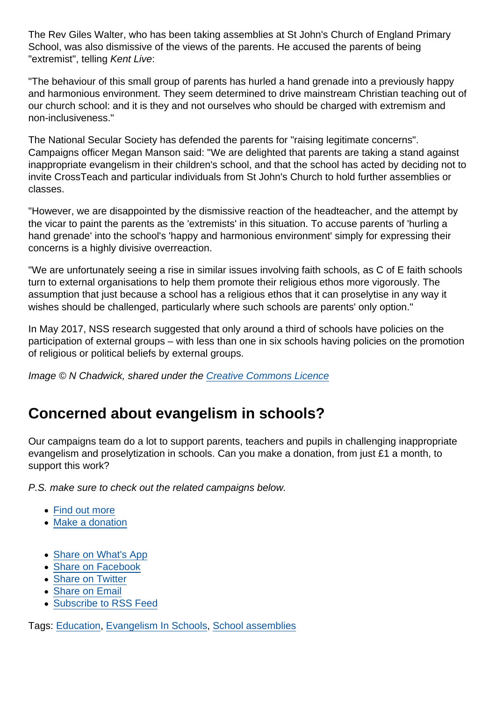The Rev Giles Walter, who has been taking assemblies at St John's Church of England Primary School, was also dismissive of the views of the parents. He accused the parents of being "extremist", telling Kent Live:

"The behaviour of this small group of parents has hurled a hand grenade into a previously happy and harmonious environment. They seem determined to drive mainstream Christian teaching out of our church school: and it is they and not ourselves who should be charged with extremism and non-inclusiveness."

The National Secular Society has defended the parents for "raising legitimate concerns". Campaigns officer Megan Manson said: "We are delighted that parents are taking a stand against inappropriate evangelism in their children's school, and that the school has acted by deciding not to invite CrossTeach and particular individuals from St John's Church to hold further assemblies or classes.

"However, we are disappointed by the dismissive reaction of the headteacher, and the attempt by the vicar to paint the parents as the 'extremists' in this situation. To accuse parents of 'hurling a hand grenade' into the school's 'happy and harmonious environment' simply for expressing their concerns is a highly divisive overreaction.

"We are unfortunately seeing a rise in similar issues involving faith schools, as C of E faith schools turn to external organisations to help them promote their religious ethos more vigorously. The assumption that just because a school has a religious ethos that it can proselytise in any way it wishes should be challenged, particularly where such schools are parents' only option."

In May 2017, NSS research suggested that only around a third of schools have policies on the participation of external groups – with less than one in six schools having policies on the promotion of religious or political beliefs by external groups.

Image © N Chadwick, shared under the [Creative Commons Licence](https://creativecommons.org/licenses/by-sa/2.0/)

## Concerned about evangelism in schools?

Our campaigns team do a lot to support parents, teachers and pupils in challenging inappropriate evangelism and proselytization in schools. Can you make a donation, from just £1 a month, to support this work?

P.S. make sure to check out the related campaigns below.

- [Find out more](https://www.secularism.org.uk/petition-evangelism-in-schools.html)
- [Make a donation](https://www.secularism.org.uk/donate.html)
- [Share on What's App](whatsapp://send?text=http://www.secularism.org.uk/news/2017/10/parents-protests-stop-evangelism-in-kent-school?format=pdf)
- [Share on Facebook](https://www.facebook.com/sharer/sharer.php?u=http://www.secularism.org.uk/news/2017/10/parents-protests-stop-evangelism-in-kent-school?format=pdf&t=Parents’+protests+stop+evangelism+in+Kent+school)
- [Share on Twitter](https://twitter.com/intent/tweet?url=http://www.secularism.org.uk/news/2017/10/parents-protests-stop-evangelism-in-kent-school?format=pdf&text=Parents’+protests+stop+evangelism+in+Kent+school&via=NatSecSoc)
- [Share on Email](https://www.secularism.org.uk/share.html?url=http://www.secularism.org.uk/news/2017/10/parents-protests-stop-evangelism-in-kent-school?format=pdf&title=Parents’+protests+stop+evangelism+in+Kent+school)
- [Subscribe to RSS Feed](/mnt/web-data/www/cp-nss/feeds/rss/news)

Tags: [Education,](https://www.secularism.org.uk/news/tags/Education) [Evangelism In Schools,](https://www.secularism.org.uk/news/tags/Evangelism+In+Schools) [School assemblies](https://www.secularism.org.uk/news/tags/School+assemblies)